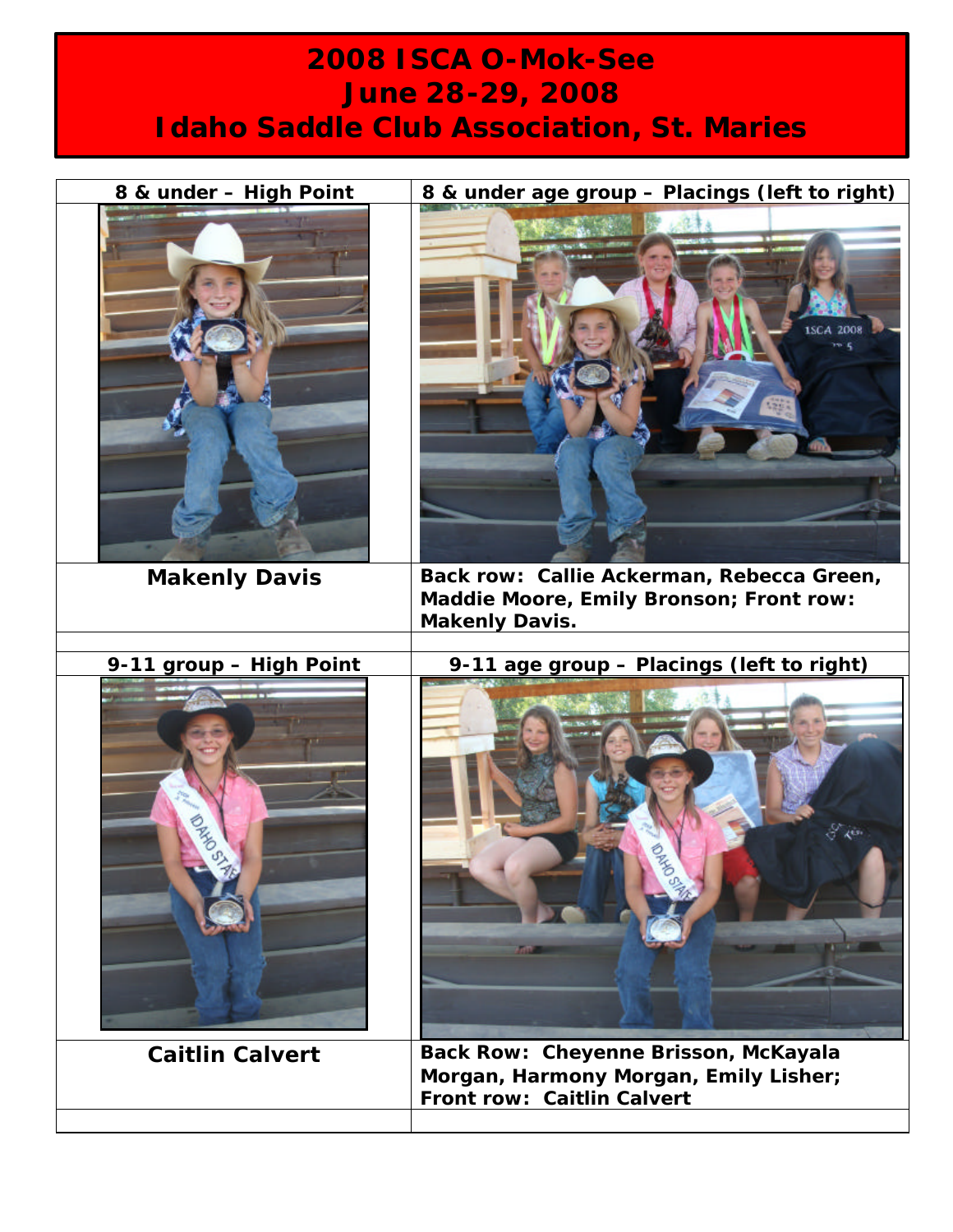## **2008 ISCA O-Mok-See June 28-29, 2008 Idaho Saddle Club Association, St. Maries**

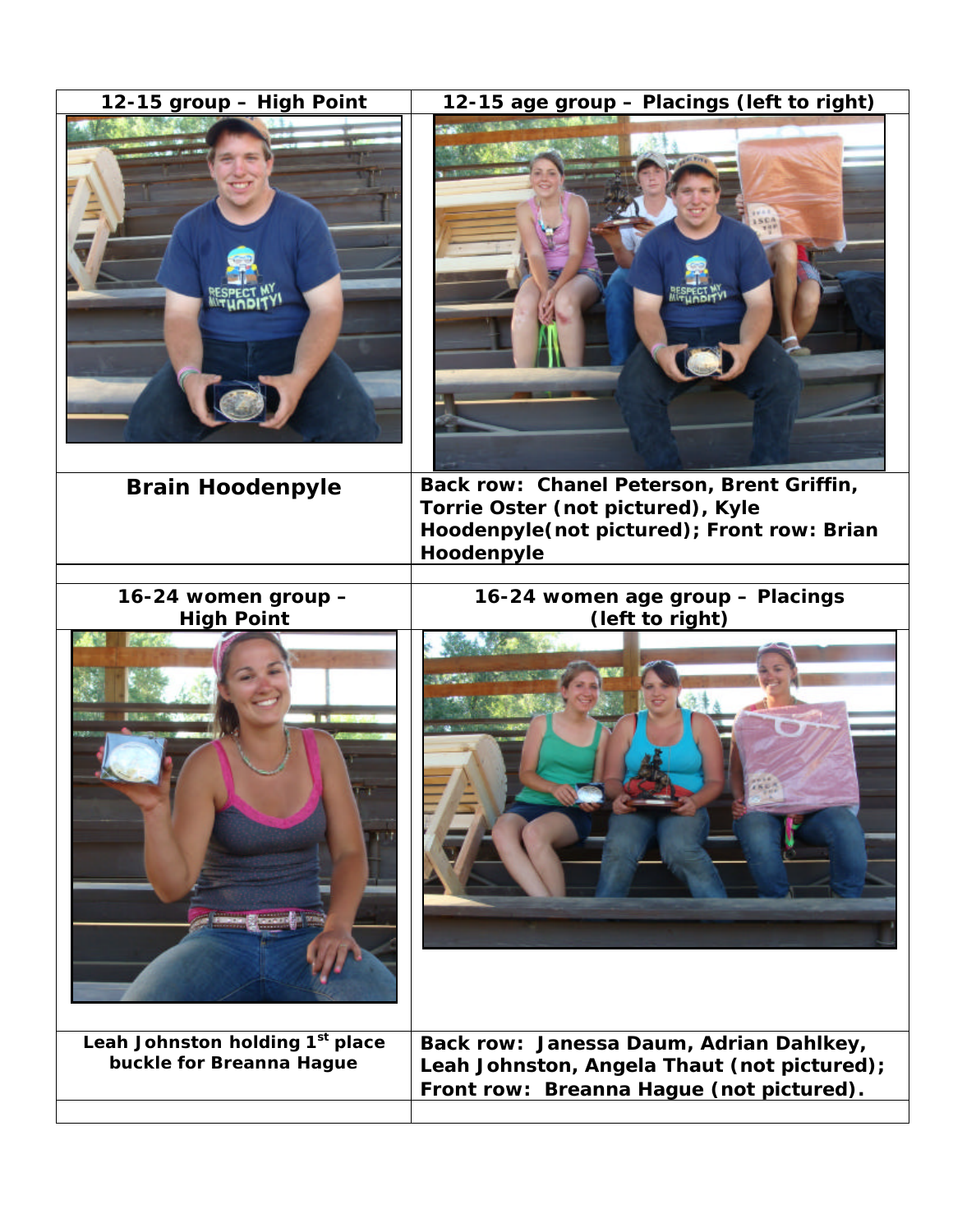| 12-15 group - High Point                                    | 12-15 age group - Placings (left to right)                                                                                                 |
|-------------------------------------------------------------|--------------------------------------------------------------------------------------------------------------------------------------------|
|                                                             |                                                                                                                                            |
| <b>Brain Hoodenpyle</b>                                     | Back row: Chanel Peterson, Brent Griffin,<br>Torrie Oster (not pictured), Kyle<br>Hoodenpyle(not pictured); Front row: Brian<br>Hoodenpyle |
| 16-24 women group -<br><b>High Point</b>                    | 16-24 women age group - Placings<br>(left to right)                                                                                        |
|                                                             |                                                                                                                                            |
| Leah Johnston holding 1st place<br>buckle for Breanna Hague | Back row: Janessa Daum, Adrian Dahlkey,<br>Leah Johnston, Angela Thaut (not pictured);<br>Front row: Breanna Hague (not pictured).         |
|                                                             |                                                                                                                                            |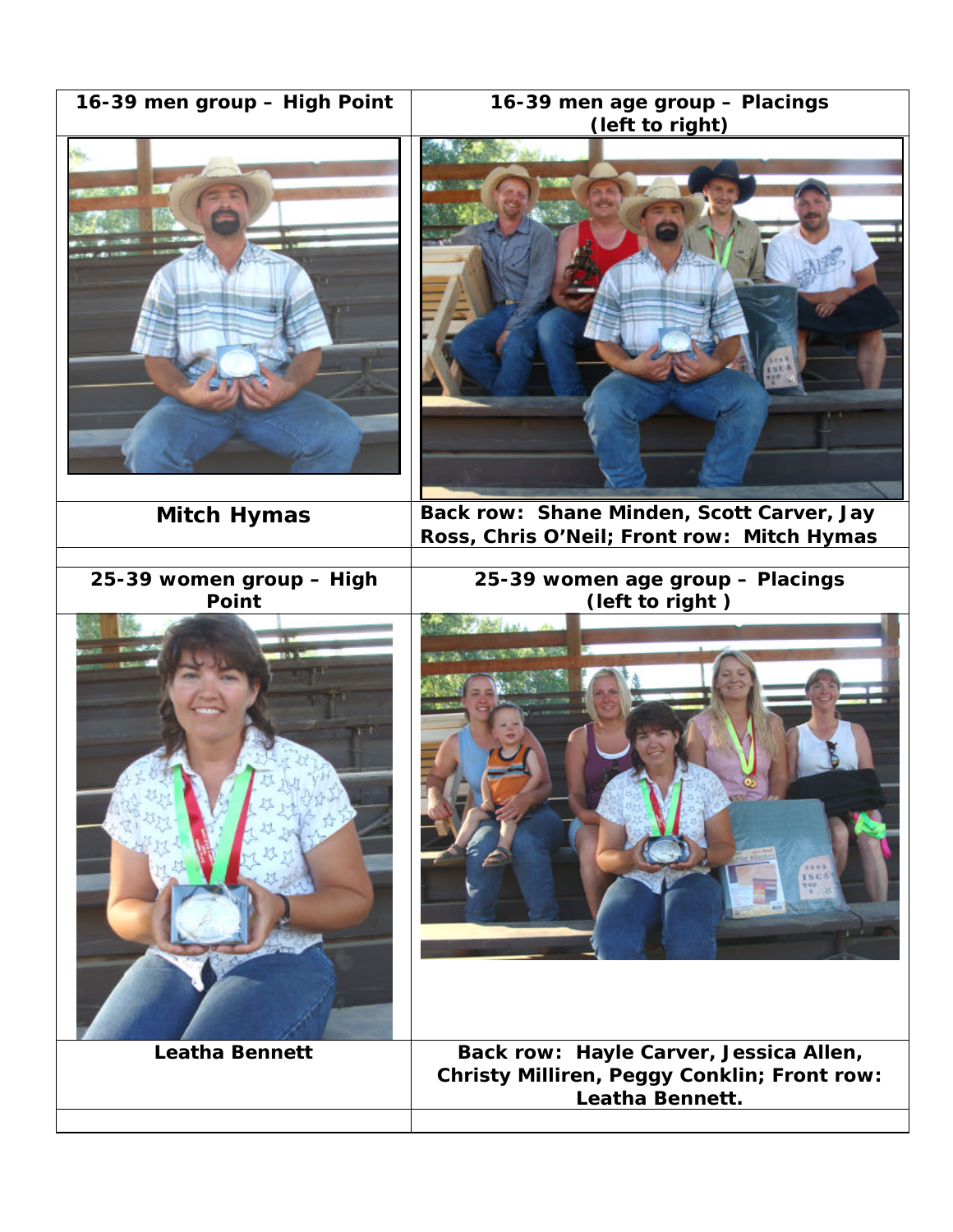| 16-39 men group - High Point             | 16-39 men age group - Placings<br>(left to right)                                                        |
|------------------------------------------|----------------------------------------------------------------------------------------------------------|
|                                          |                                                                                                          |
| <b>Mitch Hymas</b>                       | Back row: Shane Minden, Scott Carver, Jay<br>Ross, Chris O'Neil; Front row: Mitch Hymas                  |
| 25-39 women group - High<br><b>Point</b> | 25-39 women age group - Placings<br>(left to right)                                                      |
|                                          |                                                                                                          |
|                                          |                                                                                                          |
| <b>Leatha Bennett</b>                    | Back row: Hayle Carver, Jessica Allen,<br>Christy Milliren, Peggy Conklin; Front row:<br>Leatha Bennett. |